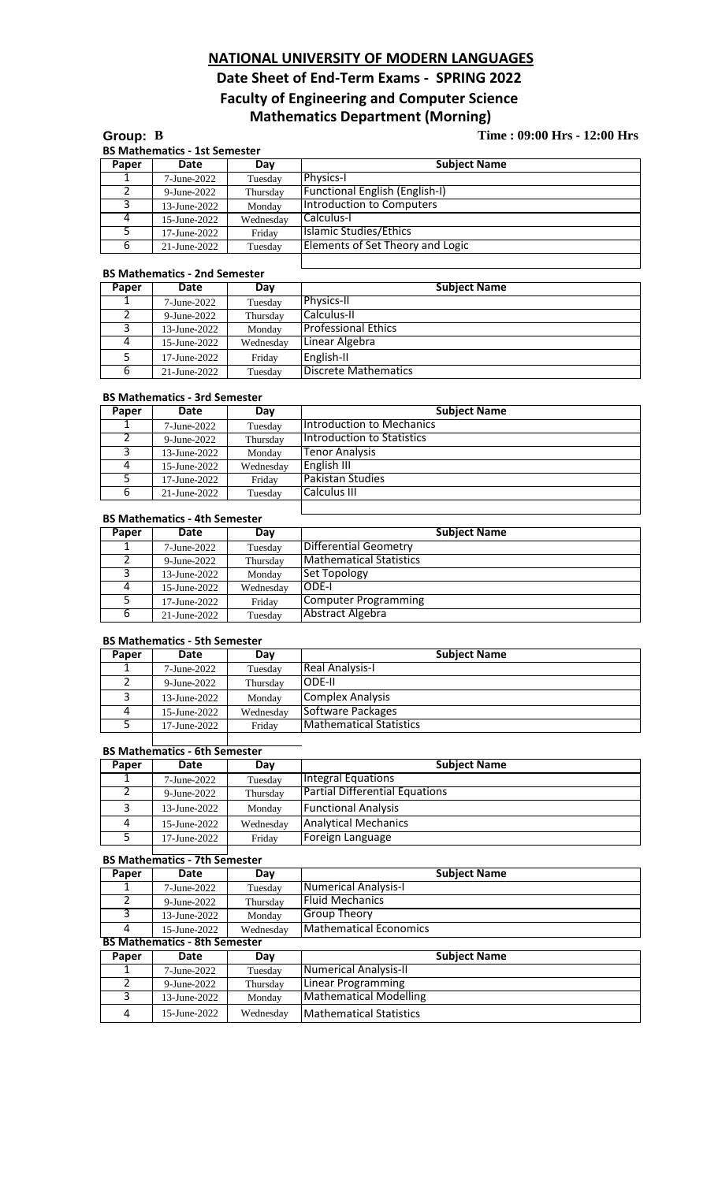# **NATIONAL UNIVERSITY OF MODERN LANGUAGES**

# **Date Sheet of End-Term Exams - SPRING 2022 Faculty of Engineering and Computer Science Mathematics Department (Morning)**

# **Group: B Time : 09:00 Hrs - 12:00 Hrs**

 $\perp$ 

| Paper | Date         | Day       | <b>Subject Name</b>                   |  |
|-------|--------------|-----------|---------------------------------------|--|
|       | 7-June-2022  | Tuesday   | Physics-I                             |  |
|       | 9-June-2022  | Thursday  | <b>Functional English (English-I)</b> |  |
|       | 13-June-2022 | Monday    | Introduction to Computers             |  |
| 4     | 15-June-2022 | Wednesday | Calculus-I                            |  |
|       | 17-June-2022 | Friday    | Islamic Studies/Ethics                |  |
| 6     | 21-June-2022 | Tuesday   | Elements of Set Theory and Logic      |  |

### **BS Mathematics - 2nd Semester**

| Paper | Date         | Day       | <b>Subject Name</b>        |  |
|-------|--------------|-----------|----------------------------|--|
|       | 7-June-2022  | Tuesday   | <b>Physics-II</b>          |  |
|       | 9-June-2022  | Thursday  | Calculus-II                |  |
|       | 13-June-2022 | Monday    | <b>Professional Ethics</b> |  |
| 4     | 15-June-2022 | Wednesday | Linear Algebra             |  |
|       | 17-June-2022 | Friday    | English-II                 |  |
| 6     | 21-June-2022 | Tuesday   | Discrete Mathematics       |  |

#### **BS Mathematics - 3rd Semester**

| Paper | Date            | Day       | <b>Subject Name</b>               |
|-------|-----------------|-----------|-----------------------------------|
|       | 7-June-2022     | Tuesday   | <b>Introduction to Mechanics</b>  |
|       | 9-June-2022     | Thursday  | <b>Introduction to Statistics</b> |
|       | $13$ -June-2022 | Monday    | <b>Tenor Analysis</b>             |
| 4     | $15$ -June-2022 | Wednesday | English III                       |
|       | 17-June-2022    | Friday    | <b>Pakistan Studies</b>           |
| 6     | 21-June-2022    | Tuesday   | <b>Calculus III</b>               |

# **BS Mathematics - 4th Semester**

| <b>Paper</b> | Date                | Dav       | <b>Subject Name</b>            |
|--------------|---------------------|-----------|--------------------------------|
|              | 7-June-2022         | Tuesday   | Differential Geometry          |
|              | $9$ -June-2022      | Thursday  | <b>Mathematical Statistics</b> |
|              | 13-June-2022        | Monday    | Set Topology                   |
|              | 15-June-2022        | Wednesday | IODE-I                         |
|              | $17 -$ June $-2022$ | Friday    | Computer Programming           |
| 6            | 21-June-2022        | Tuesday   | Abstract Algebra               |

#### **BS Mathematics - 5th Semester**

| Paper | Date            | Day       | <b>Subject Name</b>            |
|-------|-----------------|-----------|--------------------------------|
|       | 7-June-2022     | Tuesday   | Real Analysis-I                |
|       | 9-June-2022     | Thursday  | <b>IODE-II</b>                 |
| っ     | 13-June-2022    | Monday    | Complex Analysis               |
| 4     | 15-June-2022    | Wednesdav | Software Packages              |
|       | $17$ -June-2022 | Fridav    | <b>Mathematical Statistics</b> |

# **BS Mathematics - 6th Semester**

| <b>Paper</b> | Date            | Day       | <b>Subject Name</b>                   |
|--------------|-----------------|-----------|---------------------------------------|
|              | 7-June-2022     | Tuesday   | Integral Equations                    |
|              | $9$ -June-2022  | Thursday  | <b>Partial Differential Equations</b> |
|              | $13$ -June-2022 | Monday    | <b>Functional Analysis</b>            |
| 4            | $15$ -June-2022 | Wednesday | <b>Analytical Mechanics</b>           |
|              | 17-June-2022    | Fridav    | Foreign Language                      |

# **BS Mathematics - 7th Semester**

| Paper | Date                                 | Day       | <b>Subject Name</b>            |  |  |
|-------|--------------------------------------|-----------|--------------------------------|--|--|
|       |                                      |           |                                |  |  |
|       | 7-June-2022                          | Tuesday   | <b>Numerical Analysis-I</b>    |  |  |
|       | 9-June-2022                          | Thursday  | <b>Fluid Mechanics</b>         |  |  |
| 3     | 13-June-2022                         | Monday    | Group Theory                   |  |  |
| 4     | 15-June-2022                         | Wednesday | <b>Mathematical Economics</b>  |  |  |
|       | <b>BS Mathematics - 8th Semester</b> |           |                                |  |  |
| Paper | Date                                 | Day       | <b>Subject Name</b>            |  |  |
|       | 7-June-2022                          | Tuesday   | Numerical Analysis-II          |  |  |
|       | $9$ -June-2022                       | Thursday  | <b>Linear Programming</b>      |  |  |
| 3     | 13-June-2022                         | Monday    | <b>Mathematical Modelling</b>  |  |  |
| 4     | 15-June-2022                         | Wednesday | <b>Mathematical Statistics</b> |  |  |